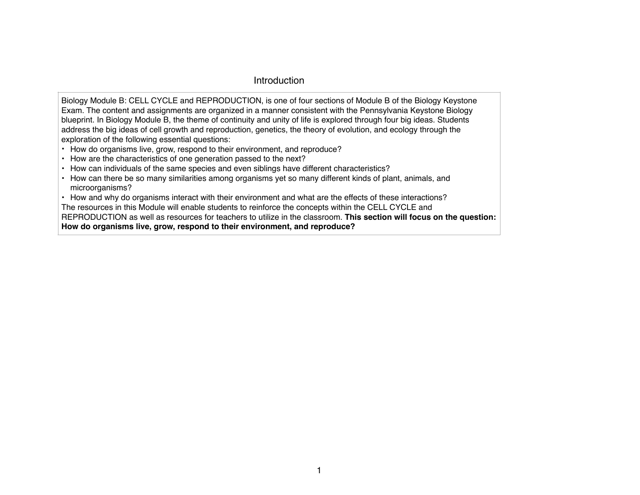## Introduction

Biology Module B: CELL CYCLE and REPRODUCTION, is one of four sections of Module B of the Biology Keystone Exam. The content and assignments are organized in a manner consistent with the Pennsylvania Keystone Biology blueprint. In Biology Module B, the theme of continuity and unity of life is explored through four big ideas. Students address the big ideas of cell growth and reproduction, genetics, the theory of evolution, and ecology through the exploration of the following essential questions:

- How do organisms live, grow, respond to their environment, and reproduce?
- How are the characteristics of one generation passed to the next?
- How can individuals of the same species and even siblings have different characteristics?
- How can there be so many similarities among organisms yet so many different kinds of plant, animals, and microorganisms?
- How and why do organisms interact with their environment and what are the effects of these interactions?

The resources in this Module will enable students to reinforce the concepts within the CELL CYCLE and

REPRODUCTION as well as resources for teachers to utilize in the classroom. **This section will focus on the question: How do organisms live, grow, respond to their environment, and reproduce?**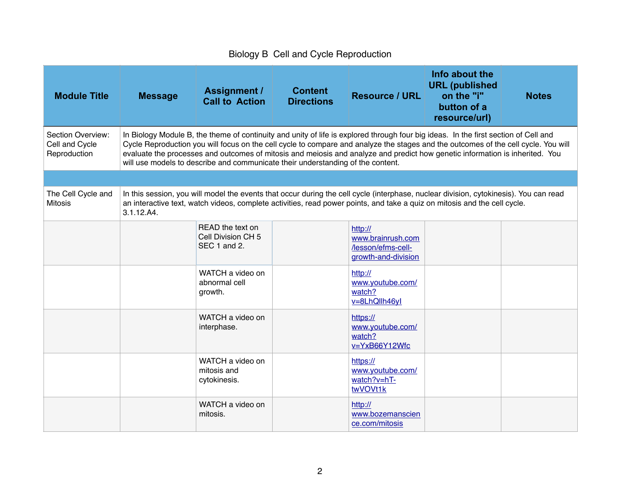## Biology B Cell and Cycle Reproduction

| <b>Module Title</b>                                        | <b>Message</b>                                                                                                                                                                                                                                                                                                                                                                                                                                                                               | <b>Assignment /</b><br><b>Call to Action</b>                                                                                                                                                                                                                       | <b>Content</b><br><b>Directions</b> | <b>Resource / URL</b>                                                     | Info about the<br><b>URL</b> (published<br>on the "i"<br>button of a<br>resource/url) | <b>Notes</b> |  |  |
|------------------------------------------------------------|----------------------------------------------------------------------------------------------------------------------------------------------------------------------------------------------------------------------------------------------------------------------------------------------------------------------------------------------------------------------------------------------------------------------------------------------------------------------------------------------|--------------------------------------------------------------------------------------------------------------------------------------------------------------------------------------------------------------------------------------------------------------------|-------------------------------------|---------------------------------------------------------------------------|---------------------------------------------------------------------------------------|--------------|--|--|
| <b>Section Overview:</b><br>Cell and Cycle<br>Reproduction | In Biology Module B, the theme of continuity and unity of life is explored through four big ideas. In the first section of Cell and<br>Cycle Reproduction you will focus on the cell cycle to compare and analyze the stages and the outcomes of the cell cycle. You will<br>evaluate the processes and outcomes of mitosis and meiosis and analyze and predict how genetic information is inherited. You<br>will use models to describe and communicate their understanding of the content. |                                                                                                                                                                                                                                                                    |                                     |                                                                           |                                                                                       |              |  |  |
| The Cell Cycle and<br><b>Mitosis</b>                       |                                                                                                                                                                                                                                                                                                                                                                                                                                                                                              | In this session, you will model the events that occur during the cell cycle (interphase, nuclear division, cytokinesis). You can read<br>an interactive text, watch videos, complete activities, read power points, and take a quiz on mitosis and the cell cycle. |                                     |                                                                           |                                                                                       |              |  |  |
|                                                            | 3.1.12.A4.                                                                                                                                                                                                                                                                                                                                                                                                                                                                                   |                                                                                                                                                                                                                                                                    |                                     |                                                                           |                                                                                       |              |  |  |
|                                                            |                                                                                                                                                                                                                                                                                                                                                                                                                                                                                              | READ the text on<br>Cell Division CH 5<br>SEC 1 and 2.                                                                                                                                                                                                             |                                     | http://<br>www.brainrush.com<br>/lesson/efms-cell-<br>growth-and-division |                                                                                       |              |  |  |
|                                                            |                                                                                                                                                                                                                                                                                                                                                                                                                                                                                              | WATCH a video on<br>abnormal cell<br>growth.                                                                                                                                                                                                                       |                                     | http://<br>www.youtube.com/<br>watch?<br>v=8LhQllh46yl                    |                                                                                       |              |  |  |
|                                                            |                                                                                                                                                                                                                                                                                                                                                                                                                                                                                              | WATCH a video on<br>interphase.                                                                                                                                                                                                                                    |                                     | https://<br>www.youtube.com/<br>watch?<br>v=YxB66Y12Wfc                   |                                                                                       |              |  |  |
|                                                            |                                                                                                                                                                                                                                                                                                                                                                                                                                                                                              | WATCH a video on<br>mitosis and<br>cytokinesis.                                                                                                                                                                                                                    |                                     | https://<br>www.youtube.com/<br>watch?v=hT-<br>twVOVt1k                   |                                                                                       |              |  |  |
|                                                            |                                                                                                                                                                                                                                                                                                                                                                                                                                                                                              | WATCH a video on<br>mitosis.                                                                                                                                                                                                                                       |                                     | http://<br>www.bozemanscien<br>ce.com/mitosis                             |                                                                                       |              |  |  |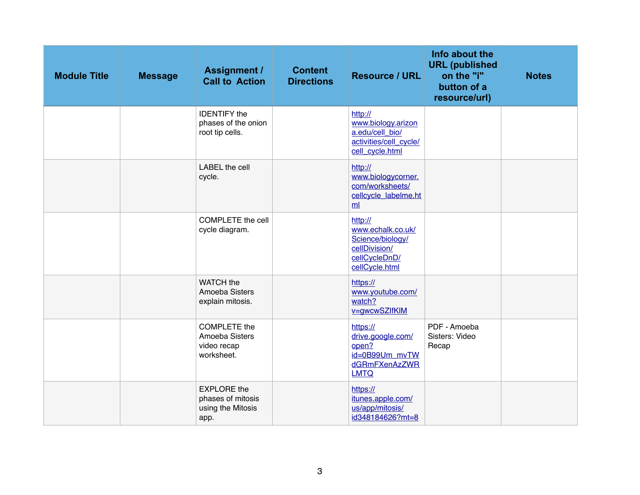| <b>Module Title</b> | <b>Message</b> | <b>Assignment /</b><br><b>Call to Action</b>                         | <b>Content</b><br><b>Directions</b> | <b>Resource / URL</b>                                                                                | Info about the<br><b>URL</b> (published<br>on the "i"<br>button of a<br>resource/url) | <b>Notes</b> |
|---------------------|----------------|----------------------------------------------------------------------|-------------------------------------|------------------------------------------------------------------------------------------------------|---------------------------------------------------------------------------------------|--------------|
|                     |                | <b>IDENTIFY</b> the<br>phases of the onion<br>root tip cells.        |                                     | http://<br>www.biology.arizon<br>a.edu/cell bio/<br>activities/cell_cycle/<br>cell_cycle.html        |                                                                                       |              |
|                     |                | LABEL the cell<br>cycle.                                             |                                     | http://<br>www.biologycorner.<br>com/worksheets/<br>cellcycle_labelme.ht<br>ml                       |                                                                                       |              |
|                     |                | <b>COMPLETE</b> the cell<br>cycle diagram.                           |                                     | http://<br>www.echalk.co.uk/<br>Science/biology/<br>cellDivision/<br>cellCycleDnD/<br>cellCycle.html |                                                                                       |              |
|                     |                | WATCH the<br>Amoeba Sisters<br>explain mitosis.                      |                                     | https://<br>www.youtube.com/<br>watch?<br>v=gwcwSZlfKlM                                              |                                                                                       |              |
|                     |                | <b>COMPLETE</b> the<br>Amoeba Sisters<br>video recap<br>worksheet.   |                                     | https://<br>drive.google.com/<br>open?<br>id=0B99Um mvTW<br>dGRmFXenAzZWR<br><b>LMTQ</b>             | PDF - Amoeba<br>Sisters: Video<br>Recap                                               |              |
|                     |                | <b>EXPLORE</b> the<br>phases of mitosis<br>using the Mitosis<br>app. |                                     | https://<br>itunes.apple.com/<br>us/app/mitosis/<br>id348184626?mt=8                                 |                                                                                       |              |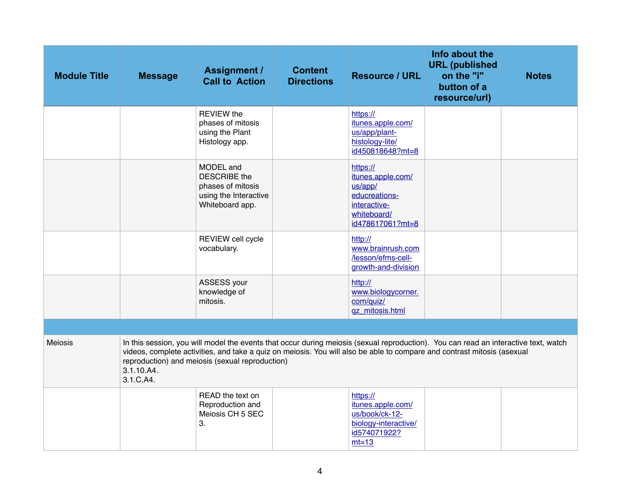| <b>Module Title</b> | <b>Message</b>          | <b>Assignment /</b><br><b>Call to Action</b>                                                                                                                                                                                                                                                                      | <b>Content</b><br><b>Directions</b> | <b>Resource / URL</b>                                                                                        | Info about the<br><b>URL</b> (published<br>on the "i"<br>button of a<br>resource/url) | <b>Notes</b> |
|---------------------|-------------------------|-------------------------------------------------------------------------------------------------------------------------------------------------------------------------------------------------------------------------------------------------------------------------------------------------------------------|-------------------------------------|--------------------------------------------------------------------------------------------------------------|---------------------------------------------------------------------------------------|--------------|
|                     |                         | <b>REVIEW the</b><br>phases of mitosis<br>using the Plant<br>Histology app.                                                                                                                                                                                                                                       |                                     | https://<br>itunes.apple.com/<br>us/app/plant-<br>histology-lite/<br>id450818648?mt=8                        |                                                                                       |              |
|                     |                         | MODEL and<br><b>DESCRIBE</b> the<br>phases of mitosis<br>using the Interactive<br>Whiteboard app.                                                                                                                                                                                                                 |                                     | https://<br>itunes.apple.com/<br>us/app/<br>educreations-<br>interactive-<br>whiteboard/<br>id478617061?mt=8 |                                                                                       |              |
|                     |                         | REVIEW cell cycle<br>vocabulary.                                                                                                                                                                                                                                                                                  |                                     | http://<br>www.brainrush.com<br>/lesson/efms-cell-<br>growth-and-division                                    |                                                                                       |              |
|                     |                         | ASSESS your<br>knowledge of<br>mitosis.                                                                                                                                                                                                                                                                           |                                     | http://<br>www.biologycorner.<br>com/quiz/<br>qz_mitosis.html                                                |                                                                                       |              |
|                     |                         |                                                                                                                                                                                                                                                                                                                   |                                     |                                                                                                              |                                                                                       |              |
| <b>Meiosis</b>      | 3.1.10.A4.<br>3.1.C.A4. | In this session, you will model the events that occur during meiosis (sexual reproduction). You can read an interactive text, watch<br>videos, complete activities, and take a quiz on meiosis. You will also be able to compare and contrast mitosis (asexual<br>reproduction) and meiosis (sexual reproduction) |                                     |                                                                                                              |                                                                                       |              |
|                     |                         | READ the text on<br>Reproduction and<br>Meiosis CH 5 SEC<br>3.                                                                                                                                                                                                                                                    |                                     | https://<br>itunes.apple.com/<br>us/book/ck-12-<br>biology-interactive/<br>id574071922?<br>$mt=13$           |                                                                                       |              |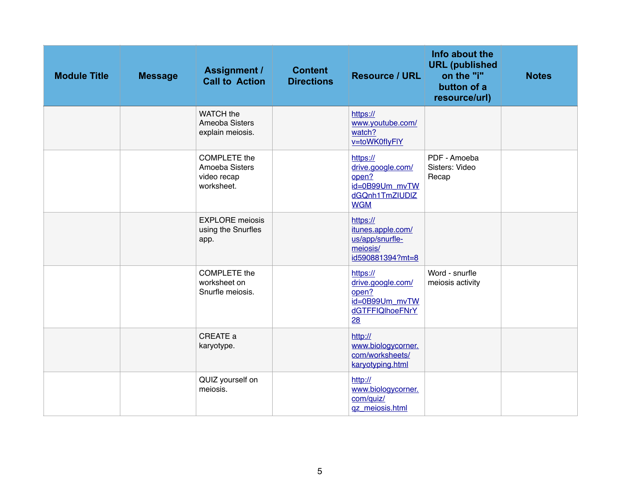| <b>Module Title</b> | <b>Message</b> | <b>Assignment /</b><br><b>Call to Action</b>                       | <b>Content</b><br><b>Directions</b> | <b>Resource / URL</b>                                                                    | Info about the<br><b>URL</b> (published<br>on the "i"<br>button of a<br>resource/url) | <b>Notes</b> |
|---------------------|----------------|--------------------------------------------------------------------|-------------------------------------|------------------------------------------------------------------------------------------|---------------------------------------------------------------------------------------|--------------|
|                     |                | WATCH the<br>Ameoba Sisters<br>explain meiosis.                    |                                     | https://<br>www.youtube.com/<br>watch?<br>v=toWK0flyFIY                                  |                                                                                       |              |
|                     |                | <b>COMPLETE</b> the<br>Amoeba Sisters<br>video recap<br>worksheet. |                                     | https://<br>drive.google.com/<br>open?<br>id=0B99Um_mvTW<br>dGQnh1TmZIUDIZ<br><b>WGM</b> | PDF - Amoeba<br>Sisters: Video<br>Recap                                               |              |
|                     |                | <b>EXPLORE</b> meiosis<br>using the Snurfles<br>app.               |                                     | https://<br>itunes.apple.com/<br>us/app/snurfle-<br>meiosis/<br>id590881394?mt=8         |                                                                                       |              |
|                     |                | <b>COMPLETE</b> the<br>worksheet on<br>Snurfle meiosis.            |                                     | https://<br>drive.google.com/<br>open?<br>id=0B99Um_mvTW<br>dGTFFIQIhoeFNrY<br>28        | Word - snurfle<br>meiosis activity                                                    |              |
|                     |                | CREATE a<br>karyotype.                                             |                                     | http://<br>www.biologycorner.<br>com/worksheets/<br>karyotyping.html                     |                                                                                       |              |
|                     |                | QUIZ yourself on<br>meiosis.                                       |                                     | http://<br>www.biologycorner.<br>com/quiz/<br>gz_meiosis.html                            |                                                                                       |              |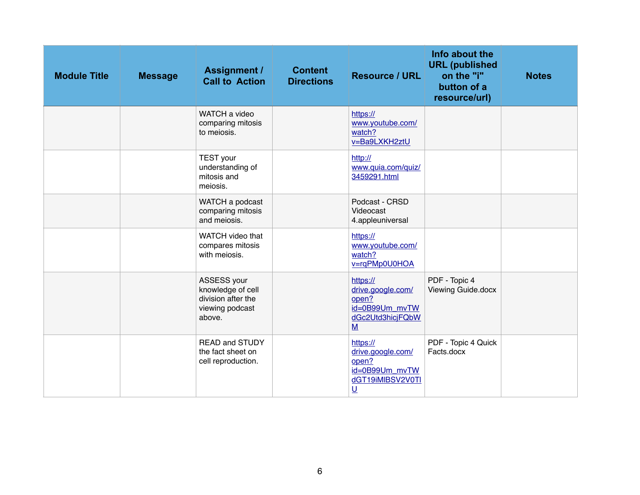| <b>Module Title</b> | <b>Message</b> | <b>Assignment /</b><br><b>Call to Action</b>                                        | <b>Content</b><br><b>Directions</b> | <b>Resource / URL</b>                                                                                    | Info about the<br><b>URL</b> (published<br>on the "i"<br>button of a<br>resource/url) | <b>Notes</b> |
|---------------------|----------------|-------------------------------------------------------------------------------------|-------------------------------------|----------------------------------------------------------------------------------------------------------|---------------------------------------------------------------------------------------|--------------|
|                     |                | WATCH a video<br>comparing mitosis<br>to meiosis.                                   |                                     | https://<br>www.youtube.com/<br>watch?<br>v=Ba9LXKH2ztU                                                  |                                                                                       |              |
|                     |                | <b>TEST</b> your<br>understanding of<br>mitosis and<br>meiosis.                     |                                     | http://<br>www.quia.com/quiz/<br>3459291.html                                                            |                                                                                       |              |
|                     |                | WATCH a podcast<br>comparing mitosis<br>and meiosis.                                |                                     | Podcast - CRSD<br>Videocast<br>4.appleuniversal                                                          |                                                                                       |              |
|                     |                | WATCH video that<br>compares mitosis<br>with meiosis.                               |                                     | https://<br>www.youtube.com/<br>watch?<br>v=rqPMp0U0HOA                                                  |                                                                                       |              |
|                     |                | ASSESS your<br>knowledge of cell<br>division after the<br>viewing podcast<br>above. |                                     | https://<br>drive.google.com/<br>open?<br>id=0B99Um mvTW<br>dGc2Utd3hicjFQbW<br>M                        | PDF - Topic 4<br>Viewing Guide.docx                                                   |              |
|                     |                | <b>READ and STUDY</b><br>the fact sheet on<br>cell reproduction.                    |                                     | https://<br>drive.google.com/<br>open?<br>id=0B99Um mvTW<br>dGT19iMIBSV2V0TI<br>$\underline{\mathsf{U}}$ | PDF - Topic 4 Quick<br>Facts.docx                                                     |              |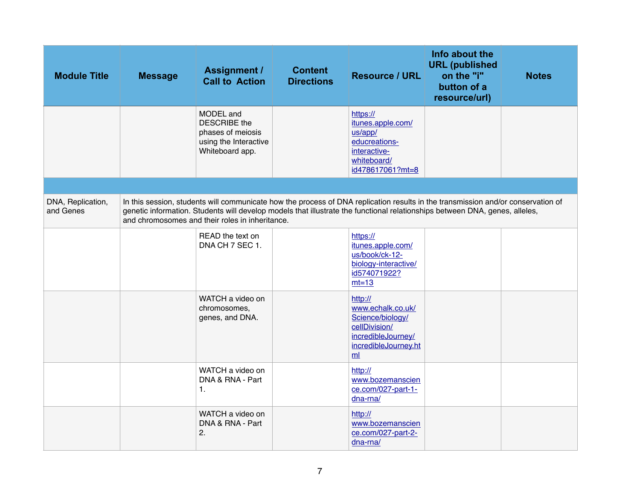| <b>Module Title</b>            | <b>Message</b> | <b>Assignment /</b><br><b>Call to Action</b>                                                      | <b>Content</b><br><b>Directions</b> | <b>Resource / URL</b>                                                                                                                                                                                                                                           | Info about the<br><b>URL</b> (published<br>on the "i"<br>button of a<br>resource/url) | <b>Notes</b> |
|--------------------------------|----------------|---------------------------------------------------------------------------------------------------|-------------------------------------|-----------------------------------------------------------------------------------------------------------------------------------------------------------------------------------------------------------------------------------------------------------------|---------------------------------------------------------------------------------------|--------------|
|                                |                | MODEL and<br><b>DESCRIBE</b> the<br>phases of meiosis<br>using the Interactive<br>Whiteboard app. |                                     | https://<br>itunes.apple.com/<br>us/app/<br>educreations-<br>interactive-<br>whiteboard/<br>id478617061?mt=8                                                                                                                                                    |                                                                                       |              |
|                                |                |                                                                                                   |                                     |                                                                                                                                                                                                                                                                 |                                                                                       |              |
| DNA, Replication,<br>and Genes |                | and chromosomes and their roles in inheritance.                                                   |                                     | In this session, students will communicate how the process of DNA replication results in the transmission and/or conservation of<br>genetic information. Students will develop models that illustrate the functional relationships between DNA, genes, alleles, |                                                                                       |              |
|                                |                | READ the text on<br>DNA CH 7 SEC 1.                                                               |                                     | https://<br>itunes.apple.com/<br>us/book/ck-12-<br>biology-interactive/<br>id574071922?<br>$mt=13$                                                                                                                                                              |                                                                                       |              |
|                                |                | WATCH a video on<br>chromosomes,<br>genes, and DNA.                                               |                                     | http://<br>www.echalk.co.uk/<br>Science/biology/<br>cellDivision/<br>incredibleJourney/<br>incredibleJourney.ht<br>ml                                                                                                                                           |                                                                                       |              |
|                                |                | WATCH a video on<br>DNA & RNA - Part<br>1.                                                        |                                     | http://<br>www.bozemanscien<br>ce.com/027-part-1-<br>$dna-rna/$                                                                                                                                                                                                 |                                                                                       |              |
|                                |                | WATCH a video on<br>DNA & RNA - Part<br>2.                                                        |                                     | http://<br>www.bozemanscien<br>ce.com/027-part-2-<br>$dna-rna/$                                                                                                                                                                                                 |                                                                                       |              |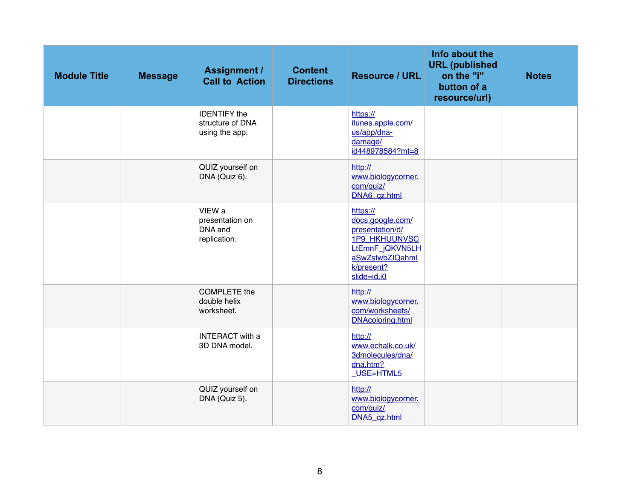| <b>Module Title</b> | <b>Message</b> | <b>Assignment /</b><br><b>Call to Action</b>              | <b>Content</b><br><b>Directions</b> | <b>Resource / URL</b>                                                                                                                      | Info about the<br><b>URL</b> (published<br>on the "i"<br>button of a<br>resource/url) | <b>Notes</b> |
|---------------------|----------------|-----------------------------------------------------------|-------------------------------------|--------------------------------------------------------------------------------------------------------------------------------------------|---------------------------------------------------------------------------------------|--------------|
|                     |                | <b>IDENTIFY</b> the<br>structure of DNA<br>using the app. |                                     | https://<br>itunes.apple.com/<br>us/app/dna-<br>damage/<br>id448978584?mt=8                                                                |                                                                                       |              |
|                     |                | QUIZ yourself on<br>DNA (Quiz 6).                         |                                     | http://<br>www.biologycorner.<br>com/quiz/<br>DNA6_qz.html                                                                                 |                                                                                       |              |
|                     |                | VIEW a<br>presentation on<br>DNA and<br>replication.      |                                     | https://<br>docs.google.com/<br>presentation/d/<br><b>1P9 HKHUUNVSC</b><br>LtEmnF_jQKVN5LH<br>aSwZstwbZIQahml<br>k/present?<br>slide=id.i0 |                                                                                       |              |
|                     |                | <b>COMPLETE</b> the<br>double helix<br>worksheet.         |                                     | http://<br>www.biologycorner.<br>com/worksheets/<br><b>DNAcoloring.html</b>                                                                |                                                                                       |              |
|                     |                | <b>INTERACT</b> with a<br>3D DNA model.                   |                                     | http://<br>www.echalk.co.uk/<br>3dmolecules/dna/<br>dna.htm?<br>$USE=HTML5$                                                                |                                                                                       |              |
|                     |                | QUIZ yourself on<br>DNA (Quiz 5).                         |                                     | http://<br>www.biologycorner.<br>com/quiz/<br>DNA5_qz.html                                                                                 |                                                                                       |              |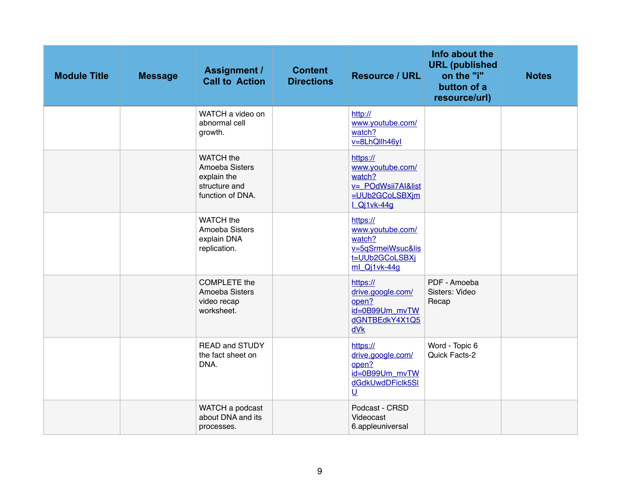| <b>Module Title</b> | <b>Message</b> | <b>Assignment /</b><br><b>Call to Action</b>                                    | <b>Content</b><br><b>Directions</b> | <b>Resource / URL</b>                                                                         | Info about the<br><b>URL</b> (published<br>on the "i"<br>button of a<br>resource/url) | <b>Notes</b> |
|---------------------|----------------|---------------------------------------------------------------------------------|-------------------------------------|-----------------------------------------------------------------------------------------------|---------------------------------------------------------------------------------------|--------------|
|                     |                | WATCH a video on<br>abnormal cell<br>growth.                                    |                                     | http://<br>www.youtube.com/<br>watch?<br>v=8LhQllh46yl                                        |                                                                                       |              |
|                     |                | WATCH the<br>Amoeba Sisters<br>explain the<br>structure and<br>function of DNA. |                                     | https://<br>www.youtube.com/<br>watch?<br>v=_POdWsii7Al&list<br>=UUb2GCoLSBXjm<br>LQj1vk-44g  |                                                                                       |              |
|                     |                | WATCH the<br>Amoeba Sisters<br>explain DNA<br>replication.                      |                                     | https://<br>www.youtube.com/<br>watch?<br>v=5qSrmeiWsuc&lis<br>t=UUb2GCoLSBXi<br>ml_Qj1vk-44g |                                                                                       |              |
|                     |                | <b>COMPLETE</b> the<br>Amoeba Sisters<br>video recap<br>worksheet.              |                                     | https://<br>drive.google.com/<br>open?<br>id=0B99Um_mvTW<br>dGNTBEdkY4X1Q5<br>dVk             | PDF - Amoeba<br>Sisters: Video<br>Recap                                               |              |
|                     |                | <b>READ and STUDY</b><br>the fact sheet on<br>DNA.                              |                                     | https://<br>drive.google.com/<br>open?<br>id=0B99Um_mvTW<br>dGdkUwdDFiclk5SI<br>$\cup$        | Word - Topic 6<br>Quick Facts-2                                                       |              |
|                     |                | WATCH a podcast<br>about DNA and its<br>processes.                              |                                     | Podcast - CRSD<br>Videocast<br>6.appleuniversal                                               |                                                                                       |              |